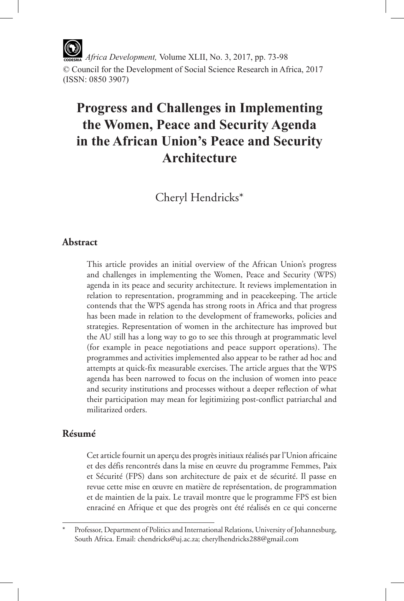*Africa Development,* Volume XLII, No. 3, 2017, pp. 73-98 © Council for the Development of Social Science Research in Africa, 2017 (ISSN: 0850 3907)

# **Progress and Challenges in Implementing the Women, Peace and Security Agenda in the African Union's Peace and Security Architecture**

Cheryl Hendricks\*

# **Abstract**

This article provides an initial overview of the African Union's progress and challenges in implementing the Women, Peace and Security (WPS) agenda in its peace and security architecture. It reviews implementation in relation to representation, programming and in peacekeeping. The article contends that the WPS agenda has strong roots in Africa and that progress has been made in relation to the development of frameworks, policies and strategies. Representation of women in the architecture has improved but the AU still has a long way to go to see this through at programmatic level (for example in peace negotiations and peace support operations). The programmes and activities implemented also appear to be rather ad hoc and attempts at quick-fix measurable exercises. The article argues that the WPS agenda has been narrowed to focus on the inclusion of women into peace and security institutions and processes without a deeper reflection of what their participation may mean for legitimizing post-conflict patriarchal and militarized orders.

# **Résumé**

Cet article fournit un aperçu des progrès initiaux réalisés par l'Union africaine et des défis rencontrés dans la mise en œuvre du programme Femmes, Paix et Sécurité (FPS) dans son architecture de paix et de sécurité. Il passe en revue cette mise en œuvre en matière de représentation, de programmation et de maintien de la paix. Le travail montre que le programme FPS est bien enraciné en Afrique et que des progrès ont été réalisés en ce qui concerne

Professor, Department of Politics and International Relations, University of Johannesburg, South Africa. Email: chendricks@uj.ac.za; cherylhendricks288@gmail.com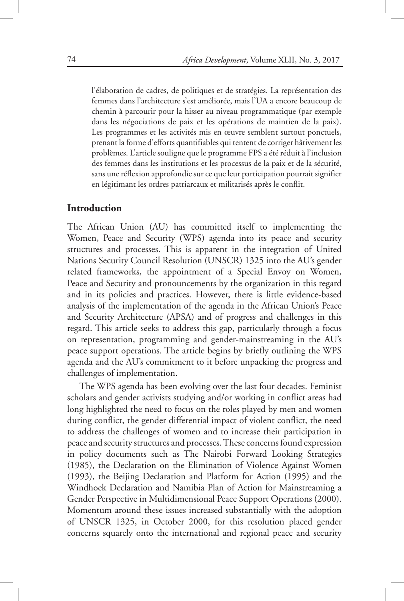l'élaboration de cadres, de politiques et de stratégies. La représentation des femmes dans l'architecture s'est améliorée, mais l'UA a encore beaucoup de chemin à parcourir pour la hisser au niveau programmatique (par exemple dans les négociations de paix et les opérations de maintien de la paix). Les programmes et les activités mis en œuvre semblent surtout ponctuels, prenant la forme d'efforts quantifiables qui tentent de corriger hâtivement les problèmes. L'article souligne que le programme FPS a été réduit à l'inclusion des femmes dans les institutions et les processus de la paix et de la sécurité, sans une réflexion approfondie sur ce que leur participation pourrait signifier en légitimant les ordres patriarcaux et militarisés après le conflit.

#### **Introduction**

The African Union (AU) has committed itself to implementing the Women, Peace and Security (WPS) agenda into its peace and security structures and processes. This is apparent in the integration of United Nations Security Council Resolution (UNSCR) 1325 into the AU's gender related frameworks, the appointment of a Special Envoy on Women, Peace and Security and pronouncements by the organization in this regard and in its policies and practices. However, there is little evidence-based analysis of the implementation of the agenda in the African Union's Peace and Security Architecture (APSA) and of progress and challenges in this regard. This article seeks to address this gap, particularly through a focus on representation, programming and gender-mainstreaming in the AU's peace support operations. The article begins by briefly outlining the WPS agenda and the AU's commitment to it before unpacking the progress and challenges of implementation.

The WPS agenda has been evolving over the last four decades. Feminist scholars and gender activists studying and/or working in conflict areas had long highlighted the need to focus on the roles played by men and women during conflict, the gender differential impact of violent conflict, the need to address the challenges of women and to increase their participation in peace and security structures and processes. These concerns found expression in policy documents such as The Nairobi Forward Looking Strategies (1985), the Declaration on the Elimination of Violence Against Women (1993), the Beijing Declaration and Platform for Action (1995) and the Windhoek Declaration and Namibia Plan of Action for Mainstreaming a Gender Perspective in Multidimensional Peace Support Operations (2000). Momentum around these issues increased substantially with the adoption of UNSCR 1325, in October 2000, for this resolution placed gender concerns squarely onto the international and regional peace and security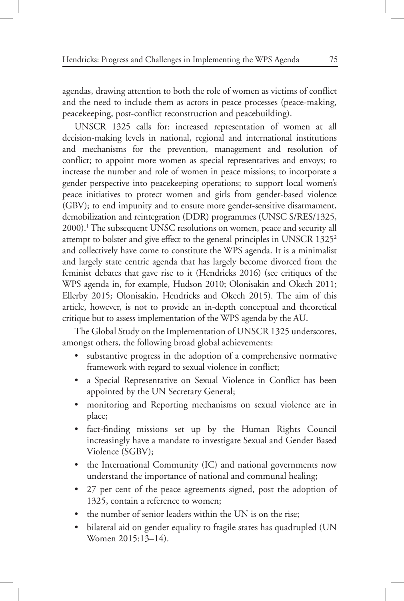agendas, drawing attention to both the role of women as victims of conflict and the need to include them as actors in peace processes (peace-making, peacekeeping, post-conflict reconstruction and peacebuilding).

UNSCR 1325 calls for: increased representation of women at all decision-making levels in national, regional and international institutions and mechanisms for the prevention, management and resolution of conflict; to appoint more women as special representatives and envoys; to increase the number and role of women in peace missions; to incorporate a gender perspective into peacekeeping operations; to support local women's peace initiatives to protect women and girls from gender-based violence (GBV); to end impunity and to ensure more gender-sensitive disarmament, demobilization and reintegration (DDR) programmes (UNSC S/RES/1325, 2000).1 The subsequent UNSC resolutions on women, peace and security all attempt to bolster and give effect to the general principles in UNSCR 1325<sup>2</sup> and collectively have come to constitute the WPS agenda. It is a minimalist and largely state centric agenda that has largely become divorced from the feminist debates that gave rise to it (Hendricks 2016) (see critiques of the WPS agenda in, for example, Hudson 2010; Olonisakin and Okech 2011; Ellerby 2015; Olonisakin, Hendricks and Okech 2015). The aim of this article, however, is not to provide an in-depth conceptual and theoretical critique but to assess implementation of the WPS agenda by the AU.

The Global Study on the Implementation of UNSCR 1325 underscores, amongst others, the following broad global achievements:

- substantive progress in the adoption of a comprehensive normative framework with regard to sexual violence in conflict;
- a Special Representative on Sexual Violence in Conflict has been appointed by the UN Secretary General;
- monitoring and Reporting mechanisms on sexual violence are in place;
- • fact-finding missions set up by the Human Rights Council increasingly have a mandate to investigate Sexual and Gender Based Violence (SGBV);
- the International Community (IC) and national governments now understand the importance of national and communal healing;
- 27 per cent of the peace agreements signed, post the adoption of 1325, contain a reference to women;
- the number of senior leaders within the UN is on the rise;
- bilateral aid on gender equality to fragile states has quadrupled (UN Women 2015:13–14).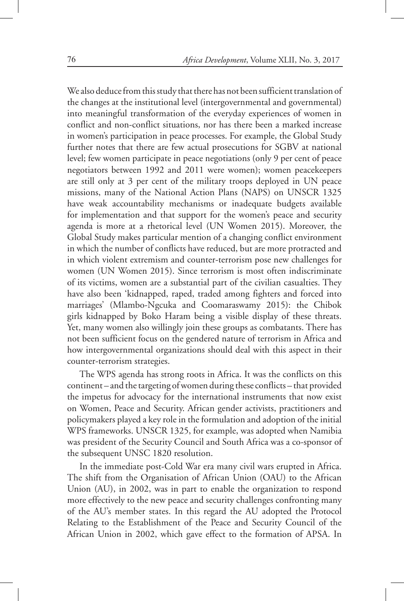We also deduce from this study that there has not been sufficient translation of the changes at the institutional level (intergovernmental and governmental) into meaningful transformation of the everyday experiences of women in conflict and non-conflict situations, nor has there been a marked increase in women's participation in peace processes. For example, the Global Study further notes that there are few actual prosecutions for SGBV at national level; few women participate in peace negotiations (only 9 per cent of peace negotiators between 1992 and 2011 were women); women peacekeepers are still only at 3 per cent of the military troops deployed in UN peace missions, many of the National Action Plans (NAPS) on UNSCR 1325 have weak accountability mechanisms or inadequate budgets available for implementation and that support for the women's peace and security agenda is more at a rhetorical level (UN Women 2015). Moreover, the Global Study makes particular mention of a changing conflict environment in which the number of conflicts have reduced, but are more protracted and in which violent extremism and counter-terrorism pose new challenges for women (UN Women 2015). Since terrorism is most often indiscriminate of its victims, women are a substantial part of the civilian casualties. They have also been 'kidnapped, raped, traded among fighters and forced into marriages' (Mlambo-Ngcuka and Coomaraswamy 2015): the Chibok girls kidnapped by Boko Haram being a visible display of these threats. Yet, many women also willingly join these groups as combatants. There has not been sufficient focus on the gendered nature of terrorism in Africa and how intergovernmental organizations should deal with this aspect in their counter-terrorism strategies.

The WPS agenda has strong roots in Africa. It was the conflicts on this continent – and the targeting of women during these conflicts – that provided the impetus for advocacy for the international instruments that now exist on Women, Peace and Security. African gender activists, practitioners and policymakers played a key role in the formulation and adoption of the initial WPS frameworks. UNSCR 1325, for example, was adopted when Namibia was president of the Security Council and South Africa was a co-sponsor of the subsequent UNSC 1820 resolution.

In the immediate post-Cold War era many civil wars erupted in Africa. The shift from the Organisation of African Union (OAU) to the African Union (AU), in 2002, was in part to enable the organization to respond more effectively to the new peace and security challenges confronting many of the AU's member states. In this regard the AU adopted the Protocol Relating to the Establishment of the Peace and Security Council of the African Union in 2002, which gave effect to the formation of APSA. In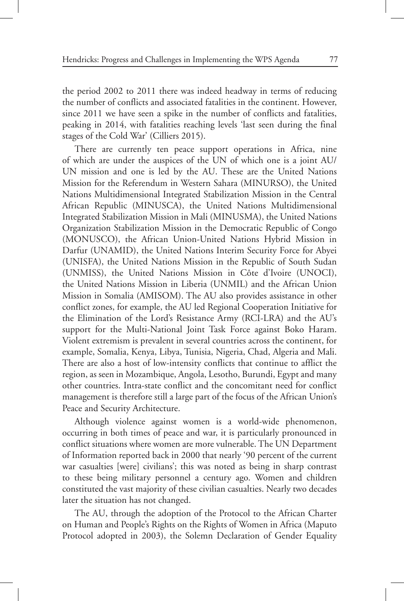the period 2002 to 2011 there was indeed headway in terms of reducing the number of conflicts and associated fatalities in the continent. However, since 2011 we have seen a spike in the number of conflicts and fatalities, peaking in 2014, with fatalities reaching levels 'last seen during the final stages of the Cold War' (Cilliers 2015).

There are currently ten peace support operations in Africa, nine of which are under the auspices of the UN of which one is a joint AU/ UN mission and one is led by the AU. These are the United Nations Mission for the Referendum in Western Sahara (MINURSO), the United Nations Multidimensional Integrated Stabilization Mission in the Central African Republic (MINUSCA), the United Nations Multidimensional Integrated Stabilization Mission in Mali (MINUSMA), the United Nations Organization Stabilization Mission in the Democratic Republic of Congo (MONUSCO), the African Union-United Nations Hybrid Mission in Darfur (UNAMID), the United Nations Interim Security Force for Abyei (UNISFA), the United Nations Mission in the Republic of South Sudan (UNMISS), the United Nations Mission in Côte d'Ivoire (UNOCI), the United Nations Mission in Liberia (UNMIL) and the African Union Mission in Somalia (AMISOM). The AU also provides assistance in other conflict zones, for example, the AU led Regional Cooperation Initiative for the Elimination of the Lord's Resistance Army (RCI-LRA) and the AU's support for the Multi-National Joint Task Force against Boko Haram. Violent extremism is prevalent in several countries across the continent, for example, Somalia, Kenya, Libya, Tunisia, Nigeria, Chad, Algeria and Mali. There are also a host of low-intensity conflicts that continue to afflict the region, as seen in Mozambique, Angola, Lesotho, Burundi, Egypt and many other countries. Intra-state conflict and the concomitant need for conflict management is therefore still a large part of the focus of the African Union's Peace and Security Architecture.

Although violence against women is a world-wide phenomenon, occurring in both times of peace and war, it is particularly pronounced in conflict situations where women are more vulnerable. The UN Department of Information reported back in 2000 that nearly '90 percent of the current war casualties [were] civilians'; this was noted as being in sharp contrast to these being military personnel a century ago. Women and children constituted the vast majority of these civilian casualties. Nearly two decades later the situation has not changed.

The AU, through the adoption of the Protocol to the African Charter on Human and People's Rights on the Rights of Women in Africa (Maputo Protocol adopted in 2003), the Solemn Declaration of Gender Equality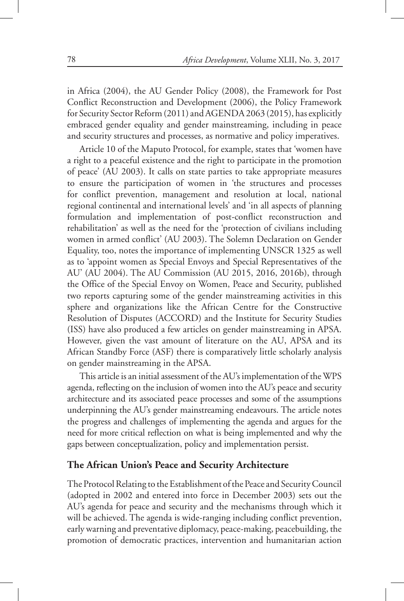in Africa (2004), the AU Gender Policy (2008), the Framework for Post Conflict Reconstruction and Development (2006), the Policy Framework for Security Sector Reform (2011) and AGENDA 2063 (2015), has explicitly embraced gender equality and gender mainstreaming, including in peace and security structures and processes, as normative and policy imperatives.

Article 10 of the Maputo Protocol, for example, states that 'women have a right to a peaceful existence and the right to participate in the promotion of peace' (AU 2003). It calls on state parties to take appropriate measures to ensure the participation of women in 'the structures and processes for conflict prevention, management and resolution at local, national regional continental and international levels' and 'in all aspects of planning formulation and implementation of post-conflict reconstruction and rehabilitation' as well as the need for the 'protection of civilians including women in armed conflict' (AU 2003). The Solemn Declaration on Gender Equality, too, notes the importance of implementing UNSCR 1325 as well as to 'appoint women as Special Envoys and Special Representatives of the AU' (AU 2004). The AU Commission (AU 2015, 2016, 2016b), through the Office of the Special Envoy on Women, Peace and Security, published two reports capturing some of the gender mainstreaming activities in this sphere and organizations like the African Centre for the Constructive Resolution of Disputes (ACCORD) and the Institute for Security Studies (ISS) have also produced a few articles on gender mainstreaming in APSA. However, given the vast amount of literature on the AU, APSA and its African Standby Force (ASF) there is comparatively little scholarly analysis on gender mainstreaming in the APSA.

This article is an initial assessment of the AU's implementation of the WPS agenda, reflecting on the inclusion of women into the AU's peace and security architecture and its associated peace processes and some of the assumptions underpinning the AU's gender mainstreaming endeavours. The article notes the progress and challenges of implementing the agenda and argues for the need for more critical reflection on what is being implemented and why the gaps between conceptualization, policy and implementation persist.

#### **The African Union's Peace and Security Architecture**

The Protocol Relating to the Establishment of the Peace and Security Council (adopted in 2002 and entered into force in December 2003) sets out the AU's agenda for peace and security and the mechanisms through which it will be achieved. The agenda is wide-ranging including conflict prevention, early warning and preventative diplomacy, peace-making, peacebuilding, the promotion of democratic practices, intervention and humanitarian action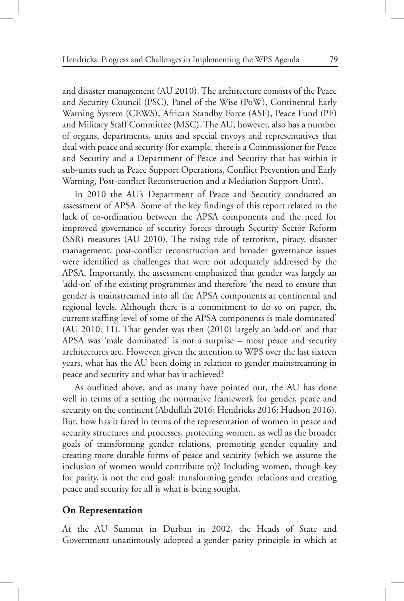and disaster management (AU 2010). The architecture consists of the Peace and Security Council (PSC), Panel of the Wise (PoW), Continental Early Warning System (CEWS), African Standby Force (ASF), Peace Fund (PF) and Military Staff Committee (MSC). The AU, however, also has a number of organs, departments, units and special envoys and representatives that deal with peace and security (for example, there is a Commissioner for Peace and Security and a Department of Peace and Security that has within it sub-units such as Peace Support Operations, Conflict Prevention and Early Warning, Post-conflict Reconstruction and a Mediation Support Unit).

In 2010 the AU's Department of Peace and Security conducted an assessment of APSA. Some of the key findings of this report related to the lack of co-ordination between the APSA components and the need for improved governance of security forces through Security Sector Reform (SSR) measures (AU 2010). The rising tide of terrorism, piracy, disaster management, post-conflict reconstruction and broader governance issues were identified as challenges that were not adequately addressed by the APSA. Importantly, the assessment emphasized that gender was largely an 'add-on' of the existing programmes and therefore 'the need to ensure that gender is mainstreamed into all the APSA components at continental and regional levels. Although there is a commitment to do so on paper, the current staffing level of some of the APSA components is male dominated' (AU 2010: 11). That gender was then (2010) largely an 'add-on' and that APSA was 'male dominated' is not a surprise – most peace and security architectures are. However, given the attention to WPS over the last sixteen years, what has the AU been doing in relation to gender mainstreaming in peace and security and what has it achieved?

As outlined above, and as many have pointed out, the AU has done well in terms of a setting the normative framework for gender, peace and security on the continent (Abdullah 2016; Hendricks 2016; Hudson 2016). But, how has it fared in terms of the representation of women in peace and security structures and processes, protecting women, as well as the broader goals of transforming gender relations, promoting gender equality and creating more durable forms of peace and security (which we assume the inclusion of women would contribute to)? Including women, though key for parity, is not the end goal: transforming gender relations and creating peace and security for all is what is being sought.

#### **On Representation**

At the AU Summit in Durban in 2002, the Heads of State and Government unanimously adopted a gender parity principle in which at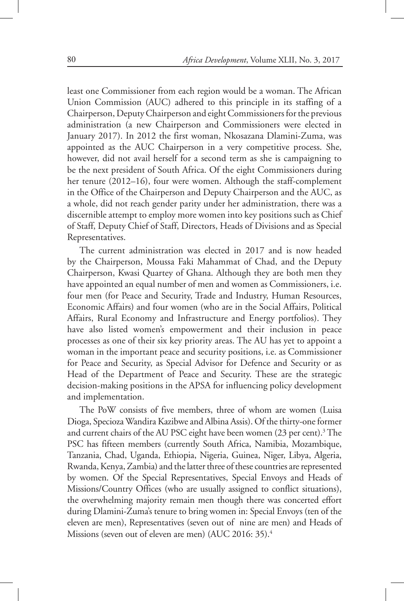least one Commissioner from each region would be a woman. The African Union Commission (AUC) adhered to this principle in its staffing of a Chairperson, Deputy Chairperson and eight Commissioners for the previous administration (a new Chairperson and Commissioners were elected in January 2017). In 2012 the first woman, Nkosazana Dlamini-Zuma, was appointed as the AUC Chairperson in a very competitive process. She, however, did not avail herself for a second term as she is campaigning to be the next president of South Africa. Of the eight Commissioners during her tenure (2012–16), four were women. Although the staff-complement in the Office of the Chairperson and Deputy Chairperson and the AUC, as a whole, did not reach gender parity under her administration, there was a discernible attempt to employ more women into key positions such as Chief of Staff, Deputy Chief of Staff, Directors, Heads of Divisions and as Special Representatives.

The current administration was elected in 2017 and is now headed by the Chairperson, Moussa Faki Mahammat of Chad, and the Deputy Chairperson, Kwasi Quartey of Ghana. Although they are both men they have appointed an equal number of men and women as Commissioners, i.e. four men (for Peace and Security, Trade and Industry, Human Resources, Economic Affairs) and four women (who are in the Social Affairs, Political Affairs, Rural Economy and Infrastructure and Energy portfolios). They have also listed women's empowerment and their inclusion in peace processes as one of their six key priority areas. The AU has yet to appoint a woman in the important peace and security positions, i.e. as Commissioner for Peace and Security, as Special Advisor for Defence and Security or as Head of the Department of Peace and Security. These are the strategic decision-making positions in the APSA for influencing policy development and implementation.

The PoW consists of five members, three of whom are women (Luisa Dioga, Specioza Wandira Kazibwe and Albina Assis). Of the thirty-one former and current chairs of the AU PSC eight have been women (23 per cent).<sup>3</sup> The PSC has fifteen members (currently South Africa, Namibia, Mozambique, Tanzania, Chad, Uganda, Ethiopia, Nigeria, Guinea, Niger, Libya, Algeria, Rwanda, Kenya, Zambia) and the latter three of these countries are represented by women. Of the Special Representatives, Special Envoys and Heads of Missions/Country Offices (who are usually assigned to conflict situations), the overwhelming majority remain men though there was concerted effort during Dlamini-Zuma's tenure to bring women in: Special Envoys (ten of the eleven are men), Representatives (seven out of nine are men) and Heads of Missions (seven out of eleven are men) (AUC 2016: 35).<sup>4</sup>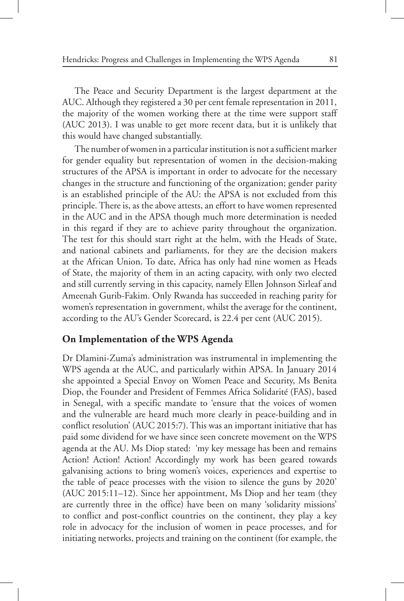The Peace and Security Department is the largest department at the AUC. Although they registered a 30 per cent female representation in 2011, the majority of the women working there at the time were support staff (AUC 2013). I was unable to get more recent data, but it is unlikely that this would have changed substantially.

The number of women in a particular institution is not a sufficient marker for gender equality but representation of women in the decision-making structures of the APSA is important in order to advocate for the necessary changes in the structure and functioning of the organization; gender parity is an established principle of the AU: the APSA is not excluded from this principle. There is, as the above attests, an effort to have women represented in the AUC and in the APSA though much more determination is needed in this regard if they are to achieve parity throughout the organization. The test for this should start right at the helm, with the Heads of State, and national cabinets and parliaments, for they are the decision makers at the African Union. To date, Africa has only had nine women as Heads of State, the majority of them in an acting capacity, with only two elected and still currently serving in this capacity, namely Ellen Johnson Sirleaf and Ameenah Gurib-Fakim. Only Rwanda has succeeded in reaching parity for women's representation in government, whilst the average for the continent, according to the AU's Gender Scorecard, is 22.4 per cent (AUC 2015).

# **On Implementation of the WPS Agenda**

Dr Dlamini-Zuma's administration was instrumental in implementing the WPS agenda at the AUC, and particularly within APSA. In January 2014 she appointed a Special Envoy on Women Peace and Security, Ms Benita Diop, the Founder and President of Femmes Africa Solidarité (FAS), based in Senegal, with a specific mandate to 'ensure that the voices of women and the vulnerable are heard much more clearly in peace-building and in conflict resolution' (AUC 2015:7). This was an important initiative that has paid some dividend for we have since seen concrete movement on the WPS agenda at the AU. Ms Diop stated: 'my key message has been and remains Action! Action! Action! Accordingly my work has been geared towards galvanising actions to bring women's voices, experiences and expertise to the table of peace processes with the vision to silence the guns by 2020' (AUC 2015:11–12). Since her appointment, Ms Diop and her team (they are currently three in the office) have been on many 'solidarity missions' to conflict and post-conflict countries on the continent, they play a key role in advocacy for the inclusion of women in peace processes, and for initiating networks, projects and training on the continent (for example, the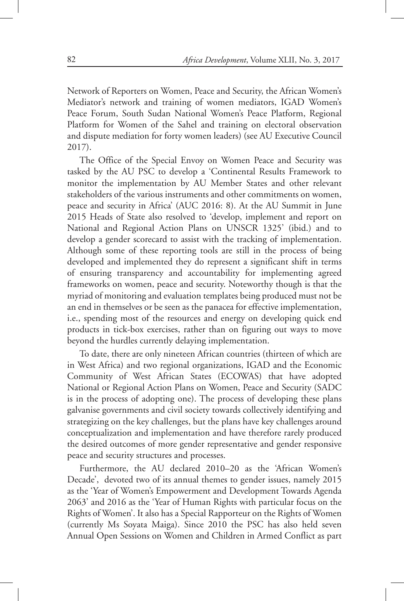Network of Reporters on Women, Peace and Security, the African Women's Mediator's network and training of women mediators, IGAD Women's Peace Forum, South Sudan National Women's Peace Platform, Regional Platform for Women of the Sahel and training on electoral observation and dispute mediation for forty women leaders) (see AU Executive Council 2017).

The Office of the Special Envoy on Women Peace and Security was tasked by the AU PSC to develop a 'Continental Results Framework to monitor the implementation by AU Member States and other relevant stakeholders of the various instruments and other commitments on women, peace and security in Africa' (AUC 2016: 8). At the AU Summit in June 2015 Heads of State also resolved to 'develop, implement and report on National and Regional Action Plans on UNSCR 1325' (ibid.) and to develop a gender scorecard to assist with the tracking of implementation. Although some of these reporting tools are still in the process of being developed and implemented they do represent a significant shift in terms of ensuring transparency and accountability for implementing agreed frameworks on women, peace and security. Noteworthy though is that the myriad of monitoring and evaluation templates being produced must not be an end in themselves or be seen as the panacea for effective implementation, i.e., spending most of the resources and energy on developing quick end products in tick-box exercises, rather than on figuring out ways to move beyond the hurdles currently delaying implementation.

To date, there are only nineteen African countries (thirteen of which are in West Africa) and two regional organizations, IGAD and the Economic Community of West African States (ECOWAS) that have adopted National or Regional Action Plans on Women, Peace and Security (SADC is in the process of adopting one). The process of developing these plans galvanise governments and civil society towards collectively identifying and strategizing on the key challenges, but the plans have key challenges around conceptualization and implementation and have therefore rarely produced the desired outcomes of more gender representative and gender responsive peace and security structures and processes.

Furthermore, the AU declared 2010–20 as the 'African Women's Decade', devoted two of its annual themes to gender issues, namely 2015 as the 'Year of Women's Empowerment and Development Towards Agenda 2063' and 2016 as the 'Year of Human Rights with particular focus on the Rights of Women'. It also has a Special Rapporteur on the Rights of Women (currently Ms Soyata Maiga). Since 2010 the PSC has also held seven Annual Open Sessions on Women and Children in Armed Conflict as part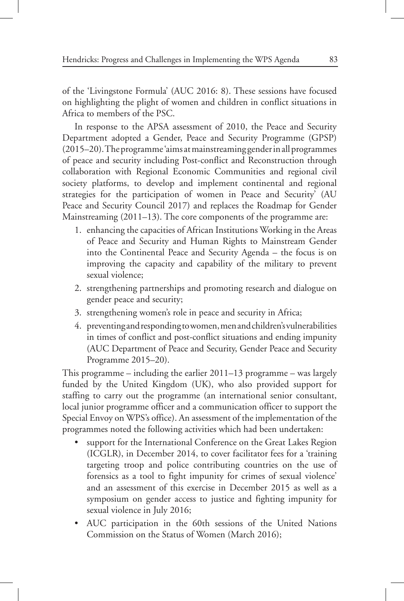of the 'Livingstone Formula' (AUC 2016: 8). These sessions have focused on highlighting the plight of women and children in conflict situations in Africa to members of the PSC.

In response to the APSA assessment of 2010, the Peace and Security Department adopted a Gender, Peace and Security Programme (GPSP) (2015–20). The programme 'aims at mainstreaming gender in all programmes of peace and security including Post-conflict and Reconstruction through collaboration with Regional Economic Communities and regional civil society platforms, to develop and implement continental and regional strategies for the participation of women in Peace and Security' (AU Peace and Security Council 2017) and replaces the Roadmap for Gender Mainstreaming (2011–13). The core components of the programme are:

- 1. enhancing the capacities of African Institutions Working in the Areas of Peace and Security and Human Rights to Mainstream Gender into the Continental Peace and Security Agenda – the focus is on improving the capacity and capability of the military to prevent sexual violence;
- 2. strengthening partnerships and promoting research and dialogue on gender peace and security;
- 3. strengthening women's role in peace and security in Africa;
- 4. preventing and responding to women, men and children's vulnerabilities in times of conflict and post-conflict situations and ending impunity (AUC Department of Peace and Security, Gender Peace and Security Programme 2015–20).

This programme – including the earlier 2011–13 programme – was largely funded by the United Kingdom (UK), who also provided support for staffing to carry out the programme (an international senior consultant, local junior programme officer and a communication officer to support the Special Envoy on WPS's office). An assessment of the implementation of the programmes noted the following activities which had been undertaken:

- support for the International Conference on the Great Lakes Region (ICGLR), in December 2014, to cover facilitator fees for a 'training targeting troop and police contributing countries on the use of forensics as a tool to fight impunity for crimes of sexual violence' and an assessment of this exercise in December 2015 as well as a symposium on gender access to justice and fighting impunity for sexual violence in July 2016;
- AUC participation in the 60th sessions of the United Nations Commission on the Status of Women (March 2016);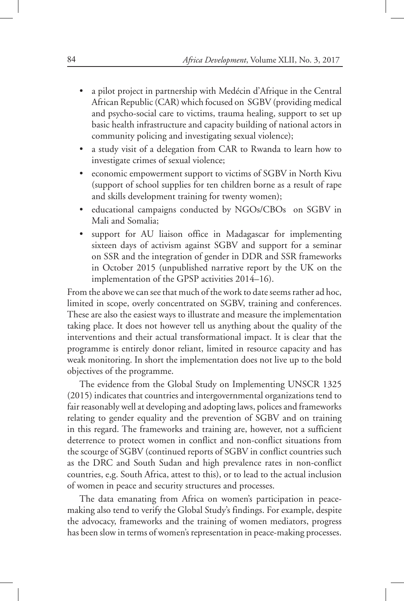- a pilot project in partnership with Medécin d'Afrique in the Central African Republic (CAR) which focused on SGBV (providing medical and psycho-social care to victims, trauma healing, support to set up basic health infrastructure and capacity building of national actors in community policing and investigating sexual violence);
- a study visit of a delegation from CAR to Rwanda to learn how to investigate crimes of sexual violence;
- economic empowerment support to victims of SGBV in North Kivu (support of school supplies for ten children borne as a result of rape and skills development training for twenty women);
- educational campaigns conducted by NGOs/CBOs on SGBV in Mali and Somalia;
- support for AU liaison office in Madagascar for implementing sixteen days of activism against SGBV and support for a seminar on SSR and the integration of gender in DDR and SSR frameworks in October 2015 (unpublished narrative report by the UK on the implementation of the GPSP activities 2014–16).

From the above we can see that much of the work to date seems rather ad hoc, limited in scope, overly concentrated on SGBV, training and conferences. These are also the easiest ways to illustrate and measure the implementation taking place. It does not however tell us anything about the quality of the interventions and their actual transformational impact. It is clear that the programme is entirely donor reliant, limited in resource capacity and has weak monitoring. In short the implementation does not live up to the bold objectives of the programme.

The evidence from the Global Study on Implementing UNSCR 1325 (2015) indicates that countries and intergovernmental organizations tend to fair reasonably well at developing and adopting laws, polices and frameworks relating to gender equality and the prevention of SGBV and on training in this regard. The frameworks and training are, however, not a sufficient deterrence to protect women in conflict and non-conflict situations from the scourge of SGBV (continued reports of SGBV in conflict countries such as the DRC and South Sudan and high prevalence rates in non-conflict countries, e,g. South Africa, attest to this), or to lead to the actual inclusion of women in peace and security structures and processes.

The data emanating from Africa on women's participation in peacemaking also tend to verify the Global Study's findings. For example, despite the advocacy, frameworks and the training of women mediators, progress has been slow in terms of women's representation in peace-making processes.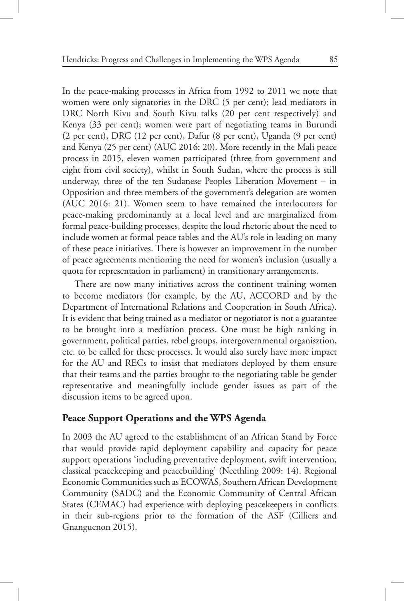In the peace-making processes in Africa from 1992 to 2011 we note that women were only signatories in the DRC (5 per cent); lead mediators in DRC North Kivu and South Kivu talks (20 per cent respectively) and Kenya (33 per cent); women were part of negotiating teams in Burundi (2 per cent), DRC (12 per cent), Dafur (8 per cent), Uganda (9 per cent) and Kenya (25 per cent) (AUC 2016: 20). More recently in the Mali peace process in 2015, eleven women participated (three from government and eight from civil society), whilst in South Sudan, where the process is still underway, three of the ten Sudanese Peoples Liberation Movement – in Opposition and three members of the government's delegation are women (AUC 2016: 21). Women seem to have remained the interlocutors for peace-making predominantly at a local level and are marginalized from formal peace-building processes, despite the loud rhetoric about the need to include women at formal peace tables and the AU's role in leading on many of these peace initiatives. There is however an improvement in the number of peace agreements mentioning the need for women's inclusion (usually a quota for representation in parliament) in transitionary arrangements.

There are now many initiatives across the continent training women to become mediators (for example, by the AU, ACCORD and by the Department of International Relations and Cooperation in South Africa). It is evident that being trained as a mediator or negotiator is not a guarantee to be brought into a mediation process. One must be high ranking in government, political parties, rebel groups, intergovernmental organisztion, etc. to be called for these processes. It would also surely have more impact for the AU and RECs to insist that mediators deployed by them ensure that their teams and the parties brought to the negotiating table be gender representative and meaningfully include gender issues as part of the discussion items to be agreed upon.

#### **Peace Support Operations and the WPS Agenda**

In 2003 the AU agreed to the establishment of an African Stand by Force that would provide rapid deployment capability and capacity for peace support operations 'including preventative deployment, swift intervention, classical peacekeeping and peacebuilding' (Neethling 2009: 14). Regional Economic Communities such as ECOWAS, Southern African Development Community (SADC) and the Economic Community of Central African States (CEMAC) had experience with deploying peacekeepers in conflicts in their sub-regions prior to the formation of the ASF (Cilliers and Gnanguenon 2015).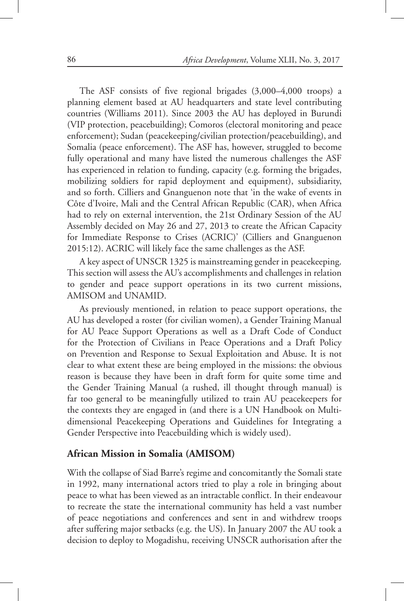The ASF consists of five regional brigades (3,000–4,000 troops) a planning element based at AU headquarters and state level contributing countries (Williams 2011). Since 2003 the AU has deployed in Burundi (VIP protection, peacebuilding); Comoros (electoral monitoring and peace enforcement); Sudan (peacekeeping/civilian protection/peacebuilding), and Somalia (peace enforcement). The ASF has, however, struggled to become fully operational and many have listed the numerous challenges the ASF has experienced in relation to funding, capacity (e.g. forming the brigades, mobilizing soldiers for rapid deployment and equipment), subsidiarity, and so forth. Cilliers and Gnanguenon note that 'in the wake of events in Côte d'Ivoire, Mali and the Central African Republic (CAR), when Africa had to rely on external intervention, the 21st Ordinary Session of the AU Assembly decided on May 26 and 27, 2013 to create the African Capacity for Immediate Response to Crises (ACRIC)' (Cilliers and Gnanguenon 2015:12). ACRIC will likely face the same challenges as the ASF.

A key aspect of UNSCR 1325 is mainstreaming gender in peacekeeping. This section will assess the AU's accomplishments and challenges in relation to gender and peace support operations in its two current missions, AMISOM and UNAMID.

As previously mentioned, in relation to peace support operations, the AU has developed a roster (for civilian women), a Gender Training Manual for AU Peace Support Operations as well as a Draft Code of Conduct for the Protection of Civilians in Peace Operations and a Draft Policy on Prevention and Response to Sexual Exploitation and Abuse. It is not clear to what extent these are being employed in the missions: the obvious reason is because they have been in draft form for quite some time and the Gender Training Manual (a rushed, ill thought through manual) is far too general to be meaningfully utilized to train AU peacekeepers for the contexts they are engaged in (and there is a UN Handbook on Multidimensional Peacekeeping Operations and Guidelines for Integrating a Gender Perspective into Peacebuilding which is widely used).

#### **African Mission in Somalia (AMISOM)**

With the collapse of Siad Barre's regime and concomitantly the Somali state in 1992, many international actors tried to play a role in bringing about peace to what has been viewed as an intractable conflict. In their endeavour to recreate the state the international community has held a vast number of peace negotiations and conferences and sent in and withdrew troops after suffering major setbacks (e.g. the US). In January 2007 the AU took a decision to deploy to Mogadishu, receiving UNSCR authorisation after the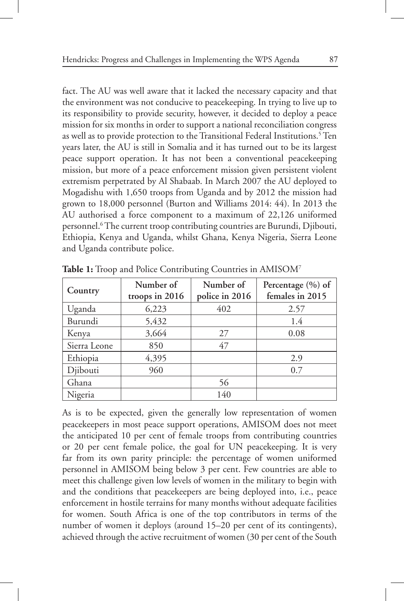fact. The AU was well aware that it lacked the necessary capacity and that the environment was not conducive to peacekeeping. In trying to live up to its responsibility to provide security, however, it decided to deploy a peace mission for six months in order to support a national reconciliation congress as well as to provide protection to the Transitional Federal Institutions.<sup>5</sup> Ten years later, the AU is still in Somalia and it has turned out to be its largest peace support operation. It has not been a conventional peacekeeping mission, but more of a peace enforcement mission given persistent violent extremism perpetrated by Al Shabaab. In March 2007 the AU deployed to Mogadishu with 1,650 troops from Uganda and by 2012 the mission had grown to 18,000 personnel (Burton and Williams 2014: 44). In 2013 the AU authorised a force component to a maximum of 22,126 uniformed personnel.<sup>6</sup> The current troop contributing countries are Burundi, Djibouti, Ethiopia, Kenya and Uganda, whilst Ghana, Kenya Nigeria, Sierra Leone and Uganda contribute police.

| Country      | Number of<br>troops in 2016 | Number of<br>police in 2016 | Percentage (%) of<br>females in 2015 |
|--------------|-----------------------------|-----------------------------|--------------------------------------|
| Uganda       | 6,223                       | 402                         | 2.57                                 |
| Burundi      | 5,432                       |                             | 1.4                                  |
| Kenya        | 3,664                       | 27                          | 0.08                                 |
| Sierra Leone | 850                         | 47                          |                                      |
| Ethiopia     | 4,395                       |                             | 2.9                                  |
| Djibouti     | 960                         |                             | 0.7                                  |
| Ghana        |                             | 56                          |                                      |
| Nigeria      |                             | 140                         |                                      |

**Table 1:** Troop and Police Contributing Countries in AMISOM7

As is to be expected, given the generally low representation of women peacekeepers in most peace support operations, AMISOM does not meet the anticipated 10 per cent of female troops from contributing countries or 20 per cent female police, the goal for UN peacekeeping. It is very far from its own parity principle: the percentage of women uniformed personnel in AMISOM being below 3 per cent. Few countries are able to meet this challenge given low levels of women in the military to begin with and the conditions that peacekeepers are being deployed into, i.e., peace enforcement in hostile terrains for many months without adequate facilities for women. South Africa is one of the top contributors in terms of the number of women it deploys (around 15–20 per cent of its contingents), achieved through the active recruitment of women (30 per cent of the South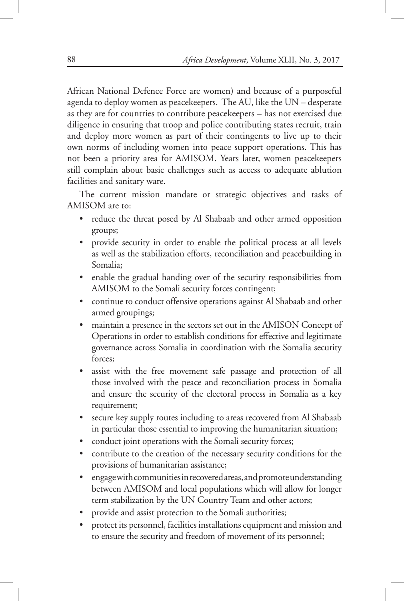African National Defence Force are women) and because of a purposeful agenda to deploy women as peacekeepers. The AU, like the UN – desperate as they are for countries to contribute peacekeepers – has not exercised due diligence in ensuring that troop and police contributing states recruit, train and deploy more women as part of their contingents to live up to their own norms of including women into peace support operations. This has not been a priority area for AMISOM. Years later, women peacekeepers still complain about basic challenges such as access to adequate ablution facilities and sanitary ware.

The current mission mandate or strategic objectives and tasks of AMISOM are to:

- reduce the threat posed by Al Shabaab and other armed opposition groups;
- provide security in order to enable the political process at all levels as well as the stabilization efforts, reconciliation and peacebuilding in Somalia;
- enable the gradual handing over of the security responsibilities from AMISOM to the Somali security forces contingent;
- continue to conduct offensive operations against Al Shabaab and other armed groupings;
- maintain a presence in the sectors set out in the AMISON Concept of Operations in order to establish conditions for effective and legitimate governance across Somalia in coordination with the Somalia security forces;
- assist with the free movement safe passage and protection of all those involved with the peace and reconciliation process in Somalia and ensure the security of the electoral process in Somalia as a key requirement;
- secure key supply routes including to areas recovered from Al Shabaab in particular those essential to improving the humanitarian situation;
- conduct joint operations with the Somali security forces;
- contribute to the creation of the necessary security conditions for the provisions of humanitarian assistance;
- engage with communities in recovered areas, and promote understanding between AMISOM and local populations which will allow for longer term stabilization by the UN Country Team and other actors;
- provide and assist protection to the Somali authorities;
- protect its personnel, facilities installations equipment and mission and to ensure the security and freedom of movement of its personnel;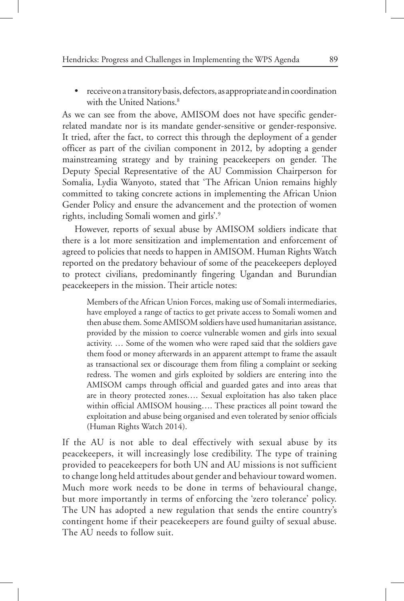• receive on a transitory basis, defectors, as appropriate and in coordination with the United Nations.<sup>8</sup>

As we can see from the above, AMISOM does not have specific genderrelated mandate nor is its mandate gender-sensitive or gender-responsive. It tried, after the fact, to correct this through the deployment of a gender officer as part of the civilian component in 2012, by adopting a gender mainstreaming strategy and by training peacekeepers on gender. The Deputy Special Representative of the AU Commission Chairperson for Somalia, Lydia Wanyoto, stated that 'The African Union remains highly committed to taking concrete actions in implementing the African Union Gender Policy and ensure the advancement and the protection of women rights, including Somali women and girls'.9

However, reports of sexual abuse by AMISOM soldiers indicate that there is a lot more sensitization and implementation and enforcement of agreed to policies that needs to happen in AMISOM. Human Rights Watch reported on the predatory behaviour of some of the peacekeepers deployed to protect civilians, predominantly fingering Ugandan and Burundian peacekeepers in the mission. Their article notes:

Members of the African Union Forces, making use of Somali intermediaries, have employed a range of tactics to get private access to Somali women and then abuse them. Some AMISOM soldiers have used humanitarian assistance, provided by the mission to coerce vulnerable women and girls into sexual activity. … Some of the women who were raped said that the soldiers gave them food or money afterwards in an apparent attempt to frame the assault as transactional sex or discourage them from filing a complaint or seeking redress. The women and girls exploited by soldiers are entering into the AMISOM camps through official and guarded gates and into areas that are in theory protected zones…. Sexual exploitation has also taken place within official AMISOM housing…. These practices all point toward the exploitation and abuse being organised and even tolerated by senior officials (Human Rights Watch 2014).

If the AU is not able to deal effectively with sexual abuse by its peacekeepers, it will increasingly lose credibility. The type of training provided to peacekeepers for both UN and AU missions is not sufficient to change long held attitudes about gender and behaviour toward women. Much more work needs to be done in terms of behavioural change, but more importantly in terms of enforcing the 'zero tolerance' policy. The UN has adopted a new regulation that sends the entire country's contingent home if their peacekeepers are found guilty of sexual abuse. The AU needs to follow suit.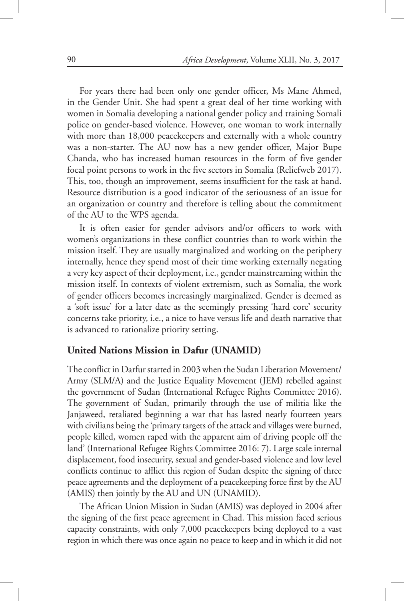For years there had been only one gender officer, Ms Mane Ahmed, in the Gender Unit. She had spent a great deal of her time working with women in Somalia developing a national gender policy and training Somali police on gender-based violence. However, one woman to work internally with more than 18,000 peacekeepers and externally with a whole country was a non-starter. The AU now has a new gender officer, Major Bupe Chanda, who has increased human resources in the form of five gender focal point persons to work in the five sectors in Somalia (Reliefweb 2017). This, too, though an improvement, seems insufficient for the task at hand. Resource distribution is a good indicator of the seriousness of an issue for an organization or country and therefore is telling about the commitment of the AU to the WPS agenda.

It is often easier for gender advisors and/or officers to work with women's organizations in these conflict countries than to work within the mission itself. They are usually marginalized and working on the periphery internally, hence they spend most of their time working externally negating a very key aspect of their deployment, i.e., gender mainstreaming within the mission itself. In contexts of violent extremism, such as Somalia, the work of gender officers becomes increasingly marginalized. Gender is deemed as a 'soft issue' for a later date as the seemingly pressing 'hard core' security concerns take priority, i.e., a nice to have versus life and death narrative that is advanced to rationalize priority setting.

# **United Nations Mission in Dafur (UNAMID)**

The conflict in Darfur started in 2003 when the Sudan Liberation Movement/ Army (SLM/A) and the Justice Equality Movement (JEM) rebelled against the government of Sudan (International Refugee Rights Committee 2016). The government of Sudan, primarily through the use of militia like the Janjaweed, retaliated beginning a war that has lasted nearly fourteen years with civilians being the 'primary targets of the attack and villages were burned, people killed, women raped with the apparent aim of driving people off the land' (International Refugee Rights Committee 2016: 7). Large scale internal displacement, food insecurity, sexual and gender-based violence and low level conflicts continue to afflict this region of Sudan despite the signing of three peace agreements and the deployment of a peacekeeping force first by the AU (AMIS) then jointly by the AU and UN (UNAMID).

The African Union Mission in Sudan (AMIS) was deployed in 2004 after the signing of the first peace agreement in Chad. This mission faced serious capacity constraints, with only 7,000 peacekeepers being deployed to a vast region in which there was once again no peace to keep and in which it did not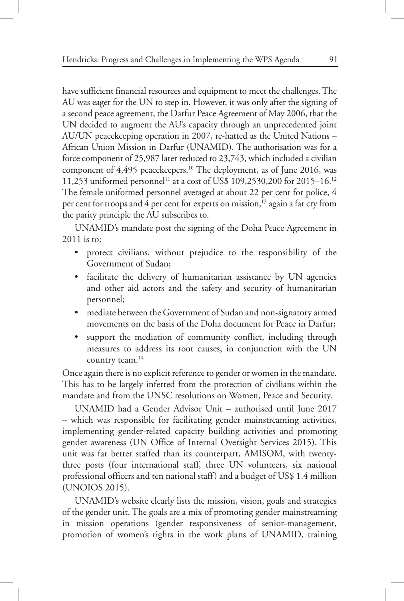have sufficient financial resources and equipment to meet the challenges. The AU was eager for the UN to step in. However, it was only after the signing of a second peace agreement, the Darfur Peace Agreement of May 2006, that the UN decided to augment the AU's capacity through an unprecedented joint AU/UN peacekeeping operation in 2007, re-hatted as the United Nations – African Union Mission in Darfur (UNAMID). The authorisation was for a force component of 25,987 later reduced to 23,743, which included a civilian component of 4,495 peacekeepers.<sup>10</sup> The deployment, as of June 2016, was 11,253 uniformed personnel<sup>11</sup> at a cost of US\$ 109,2530,200 for 2015–16.<sup>12</sup> The female uniformed personnel averaged at about 22 per cent for police, 4 per cent for troops and 4 per cent for experts on mission,<sup>13</sup> again a far cry from the parity principle the AU subscribes to.

UNAMID's mandate post the signing of the Doha Peace Agreement in 2011 is to:

- protect civilians, without prejudice to the responsibility of the Government of Sudan;
- facilitate the delivery of humanitarian assistance by UN agencies and other aid actors and the safety and security of humanitarian personnel;
- mediate between the Government of Sudan and non-signatory armed movements on the basis of the Doha document for Peace in Darfur;
- support the mediation of community conflict, including through measures to address its root causes, in conjunction with the UN country team.<sup>14</sup>

Once again there is no explicit reference to gender or women in the mandate. This has to be largely inferred from the protection of civilians within the mandate and from the UNSC resolutions on Women, Peace and Security.

UNAMID had a Gender Advisor Unit – authorised until June 2017 – which was responsible for facilitating gender mainstreaming activities, implementing gender-related capacity building activities and promoting gender awareness (UN Office of Internal Oversight Services 2015). This unit was far better staffed than its counterpart, AMISOM, with twentythree posts (four international staff, three UN volunteers, six national professional officers and ten national staff) and a budget of US\$ 1.4 million (UNOIOS 2015).

UNAMID's website clearly lists the mission, vision, goals and strategies of the gender unit. The goals are a mix of promoting gender mainstreaming in mission operations (gender responsiveness of senior-management, promotion of women's rights in the work plans of UNAMID, training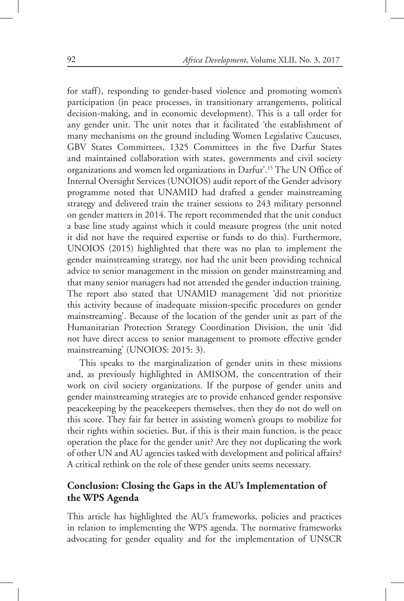for staff), responding to gender-based violence and promoting women's participation (in peace processes, in transitionary arrangements, political decision-making, and in economic development). This is a tall order for any gender unit. The unit notes that it facilitated 'the establishment of many mechanisms on the ground including Women Legislative Caucuses, GBV States Committees, 1325 Committees in the five Darfur States and maintained collaboration with states, governments and civil society organizations and women led organizations in Darfur'.15 The UN Office of Internal Oversight Services (UNOIOS) audit report of the Gender advisory programme noted that UNAMID had drafted a gender mainstreaming strategy and delivered train the trainer sessions to 243 military personnel on gender matters in 2014. The report recommended that the unit conduct a base line study against which it could measure progress (the unit noted it did not have the required expertise or funds to do this). Furthermore, UNOIOS (2015) highlighted that there was no plan to implement the gender mainstreaming strategy, nor had the unit been providing technical advice to senior management in the mission on gender mainstreaming and that many senior managers had not attended the gender induction training. The report also stated that UNAMID management 'did not prioritize this activity because of inadequate mission-specific procedures on gender mainstreaming'. Because of the location of the gender unit as part of the Humanitarian Protection Strategy Coordination Division, the unit 'did not have direct access to senior management to promote effective gender mainstreaming' (UNOIOS: 2015: 3).

This speaks to the marginalization of gender units in these missions and, as previously highlighted in AMISOM, the concentration of their work on civil society organizations. If the purpose of gender units and gender mainstreaming strategies are to provide enhanced gender responsive peacekeeping by the peacekeepers themselves, then they do not do well on this score. They fair far better in assisting women's groups to mobilize for their rights within societies. But, if this is their main function, is the peace operation the place for the gender unit? Are they not duplicating the work of other UN and AU agencies tasked with development and political affairs? A critical rethink on the role of these gender units seems necessary.

# **Conclusion: Closing the Gaps in the AU's Implementation of the WPS Agenda**

This article has highlighted the AU's frameworks, policies and practices in relation to implementing the WPS agenda. The normative frameworks advocating for gender equality and for the implementation of UNSCR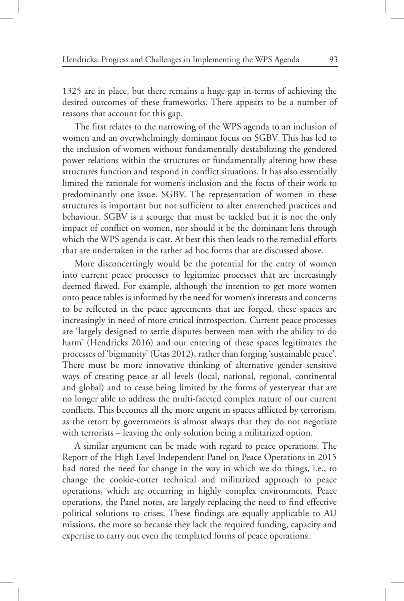1325 are in place, but there remains a huge gap in terms of achieving the desired outcomes of these frameworks. There appears to be a number of reasons that account for this gap.

The first relates to the narrowing of the WPS agenda to an inclusion of women and an overwhelmingly dominant focus on SGBV. This has led to the inclusion of women without fundamentally destabilizing the gendered power relations within the structures or fundamentally altering how these structures function and respond in conflict situations. It has also essentially limited the rationale for women's inclusion and the focus of their work to predominantly one issue: SGBV. The representation of women in these structures is important but not sufficient to alter entrenched practices and behaviour. SGBV is a scourge that must be tackled but it is not the only impact of conflict on women, nor should it be the dominant lens through which the WPS agenda is cast. At best this then leads to the remedial efforts that are undertaken in the rather ad hoc forms that are discussed above.

More disconcertingly would be the potential for the entry of women into current peace processes to legitimize processes that are increasingly deemed flawed. For example, although the intention to get more women onto peace tables is informed by the need for women's interests and concerns to be reflected in the peace agreements that are forged, these spaces are increasingly in need of more critical introspection. Current peace processes are 'largely designed to settle disputes between men with the ability to do harm' (Hendricks 2016) and our entering of these spaces legitimates the processes of 'bigmanity' (Utas 2012), rather than forging 'sustainable peace'. There must be more innovative thinking of alternative gender sensitive ways of creating peace at all levels (local, national, regional, continental and global) and to cease being limited by the forms of yesteryear that are no longer able to address the multi-faceted complex nature of our current conflicts. This becomes all the more urgent in spaces afflicted by terrorism, as the retort by governments is almost always that they do not negotiate with terrorists – leaving the only solution being a militarized option.

A similar argument can be made with regard to peace operations. The Report of the High Level Independent Panel on Peace Operations in 2015 had noted the need for change in the way in which we do things, i.e., to change the cookie-cutter technical and militarized approach to peace operations, which are occurring in highly complex environments. Peace operations, the Panel notes, are largely replacing the need to find effective political solutions to crises. These findings are equally applicable to AU missions, the more so because they lack the required funding, capacity and expertise to carry out even the templated forms of peace operations.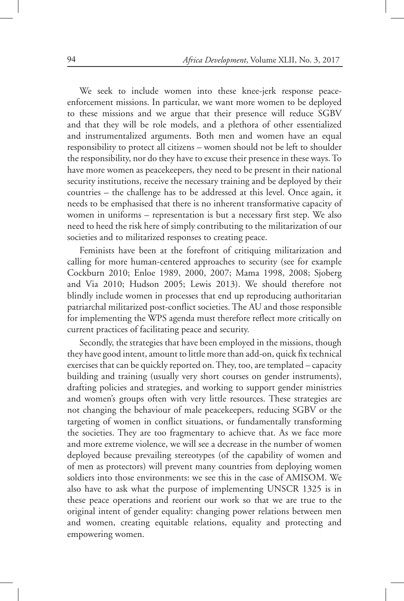We seek to include women into these knee-jerk response peaceenforcement missions. In particular, we want more women to be deployed to these missions and we argue that their presence will reduce SGBV and that they will be role models, and a plethora of other essentialized and instrumentalized arguments. Both men and women have an equal responsibility to protect all citizens – women should not be left to shoulder the responsibility, nor do they have to excuse their presence in these ways. To have more women as peacekeepers, they need to be present in their national security institutions, receive the necessary training and be deployed by their countries – the challenge has to be addressed at this level. Once again, it needs to be emphasised that there is no inherent transformative capacity of women in uniforms – representation is but a necessary first step. We also need to heed the risk here of simply contributing to the militarization of our societies and to militarized responses to creating peace.

Feminists have been at the forefront of critiquing militarization and calling for more human-centered approaches to security (see for example Cockburn 2010; Enloe 1989, 2000, 2007; Mama 1998, 2008; Sjoberg and Via 2010; Hudson 2005; Lewis 2013). We should therefore not blindly include women in processes that end up reproducing authoritarian patriarchal militarized post-conflict societies. The AU and those responsible for implementing the WPS agenda must therefore reflect more critically on current practices of facilitating peace and security.

Secondly, the strategies that have been employed in the missions, though they have good intent, amount to little more than add-on, quick fix technical exercises that can be quickly reported on. They, too, are templated – capacity building and training (usually very short courses on gender instruments), drafting policies and strategies, and working to support gender ministries and women's groups often with very little resources. These strategies are not changing the behaviour of male peacekeepers, reducing SGBV or the targeting of women in conflict situations, or fundamentally transforming the societies. They are too fragmentary to achieve that. As we face more and more extreme violence, we will see a decrease in the number of women deployed because prevailing stereotypes (of the capability of women and of men as protectors) will prevent many countries from deploying women soldiers into those environments: we see this in the case of AMISOM. We also have to ask what the purpose of implementing UNSCR 1325 is in these peace operations and reorient our work so that we are true to the original intent of gender equality: changing power relations between men and women, creating equitable relations, equality and protecting and empowering women.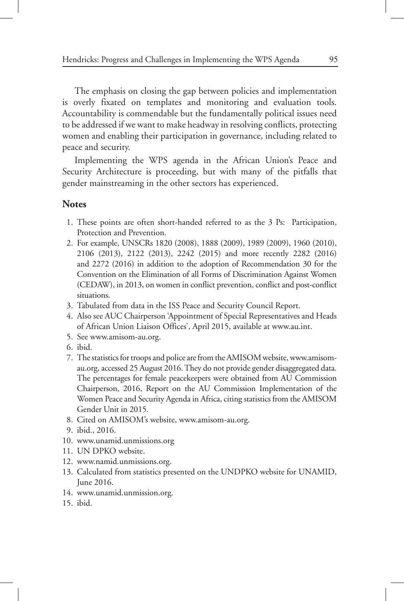The emphasis on closing the gap between policies and implementation is overly fixated on templates and monitoring and evaluation tools. Accountability is commendable but the fundamentally political issues need to be addressed if we want to make headway in resolving conflicts, protecting women and enabling their participation in governance, including related to peace and security.

Implementing the WPS agenda in the African Union's Peace and Security Architecture is proceeding, but with many of the pitfalls that gender mainstreaming in the other sectors has experienced.

#### **Notes**

- 1. These points are often short-handed referred to as the 3 Ps: Participation, Protection and Prevention.
- 2. For example, UNSCRs 1820 (2008), 1888 (2009), 1989 (2009), 1960 (2010), 2106 (2013), 2122 (2013), 2242 (2015) and more recently 2282 (2016) and 2272 (2016) in addition to the adoption of Recommendation 30 for the Convention on the Elimination of all Forms of Discrimination Against Women (CEDAW), in 2013, on women in conflict prevention, conflict and post-conflict situations.
- 3. Tabulated from data in the ISS Peace and Security Council Report.
- 4. Also see AUC Chairperson 'Appointment of Special Representatives and Heads of African Union Liaison Offices', April 2015, available at www.au.int.
- 5. See www.amisom-au.org.
- 6. ibid.
- 7. The statistics for troops and police are from the AMISOM website, www.amisomau.org, accessed 25 August 2016. They do not provide gender disaggregated data. The percentages for female peacekeepers were obtained from AU Commission Chairperson, 2016, Report on the AU Commission Implementation of the Women Peace and Security Agenda in Africa, citing statistics from the AMISOM Gender Unit in 2015.
- 8. Cited on AMISOM's website, www.amisom-au.org.
- 9. ibid., 2016.
- 10. www.unamid.unmissions.org
- 11. UN DPKO website.
- 12. www.namid.unmissions.org.
- 13. Calculated from statistics presented on the UNDPKO website for UNAMID, June 2016.
- 14. www.unamid.unmission.org.
- 15. ibid.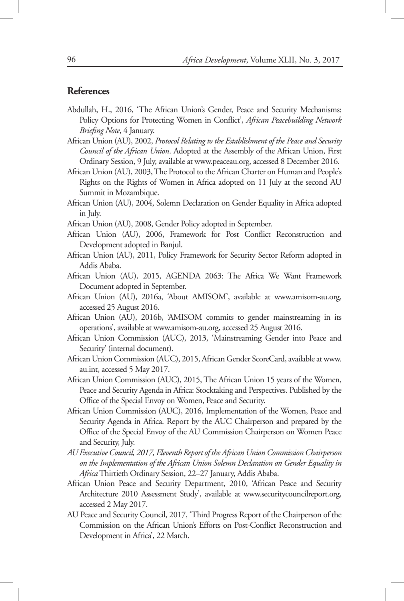# **References**

- Abdullah, H., 2016, 'The African Union's Gender, Peace and Security Mechanisms: Policy Options for Protecting Women in Conflict', *African Peacebuilding Network Briefing Note*, 4 January.
- African Union (AU), 2002, *Protocol Relating to the Establishment of the Peace and Security Council of the African Union*. Adopted at the Assembly of the African Union, First Ordinary Session, 9 July, available at www.peaceau.org, accessed 8 December 2016.
- African Union (AU), 2003, The Protocol to the African Charter on Human and People's Rights on the Rights of Women in Africa adopted on 11 July at the second AU Summit in Mozambique.
- African Union (AU), 2004, Solemn Declaration on Gender Equality in Africa adopted in July.
- African Union (AU), 2008, Gender Policy adopted in September.
- African Union (AU), 2006, Framework for Post Conflict Reconstruction and Development adopted in Banjul.
- African Union (AU), 2011, Policy Framework for Security Sector Reform adopted in Addis Ababa.
- African Union (AU), 2015, AGENDA 2063: The Africa We Want Framework Document adopted in September.
- African Union (AU), 2016a, 'About AMISOM', available at www.amisom-au.org, accessed 25 August 2016.
- African Union (AU), 2016b, 'AMISOM commits to gender mainstreaming in its operations', available at www.amisom-au.org, accessed 25 August 2016.
- African Union Commission (AUC), 2013, 'Mainstreaming Gender into Peace and Security' (internal document).
- African Union Commission (AUC), 2015, African Gender ScoreCard, available at www. au.int, accessed 5 May 2017.
- African Union Commission (AUC), 2015, The African Union 15 years of the Women, Peace and Security Agenda in Africa: Stocktaking and Perspectives. Published by the Office of the Special Envoy on Women, Peace and Security.
- African Union Commission (AUC), 2016, Implementation of the Women, Peace and Security Agenda in Africa. Report by the AUC Chairperson and prepared by the Office of the Special Envoy of the AU Commission Chairperson on Women Peace and Security, July.
- *AU Executive Council, 2017, Eleventh Report of the African Union Commission Chairperson on the Implementation of the African Union Solemn Declaration on Gender Equality in Africa* Thirtieth Ordinary Session, 22–27 January, Addis Ababa.
- African Union Peace and Security Department, 2010, 'African Peace and Security Architecture 2010 Assessment Study', available at www.securitycouncilreport.org, accessed 2 May 2017.
- AU Peace and Security Council, 2017, 'Third Progress Report of the Chairperson of the Commission on the African Union's Efforts on Post-Conflict Reconstruction and Development in Africa', 22 March.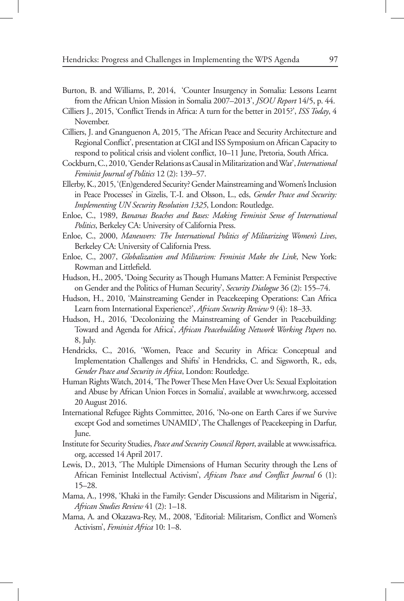- Burton, B. and Williams, P., 2014, 'Counter Insurgency in Somalia: Lessons Learnt from the African Union Mission in Somalia 2007–2013', *JSOU Report* 14/5, p. 44.
- Cilliers J., 2015, 'Conflict Trends in Africa: A turn for the better in 2015?', *ISS Today*, 4 November.
- Cilliers, J. and Gnanguenon A, 2015, 'The African Peace and Security Architecture and Regional Conflict', presentation at CIGI and ISS Symposium on African Capacity to respond to political crisis and violent conflict, 10–11 June, Pretoria, South Africa.
- Cockburn, C., 2010, 'Gender Relations as Causal in Militarization and War', *International Feminist Journal of Politics* 12 (2): 139–57.
- Ellerby, K., 2015, '(En)gendered Security? Gender Mainstreaming and Women's Inclusion in Peace Processes' in Gizelis, T.-I. and Olsson, L., eds, *Gender Peace and Security: Implementing UN Security Resolution 1325*, London: Routledge.
- Enloe, C., 1989, *Bananas Beaches and Bases: Making Feminist Sense of International Politics*, Berkeley CA: University of California Press.
- Enloe, C., 2000, *Maneuvers: The International Politics of Militarizing Women's Lives*, Berkeley CA: University of California Press.
- Enloe, C., 2007, *Globalization and Militarism: Feminist Make the Link*, New York: Rowman and Littlefield.
- Hudson, H., 2005, 'Doing Security as Though Humans Matter: A Feminist Perspective on Gender and the Politics of Human Security', *Security Dialogue* 36 (2): 155–74.
- Hudson, H., 2010, 'Mainstreaming Gender in Peacekeeping Operations: Can Africa Learn from International Experience?', *African Security Review* 9 (4): 18–33.
- Hudson, H., 2016, 'Decolonizing the Mainstreaming of Gender in Peacebuilding: Toward and Agenda for Africa', *African Peacebuilding Network Working Papers* no. 8, July.
- Hendricks, C., 2016, 'Women, Peace and Security in Africa: Conceptual and Implementation Challenges and Shifts' in Hendricks, C. and Sigsworth, R., eds, *Gender Peace and Security in Africa*, London: Routledge.
- Human Rights Watch, 2014, 'The Power These Men Have Over Us: Sexual Exploitation and Abuse by African Union Forces in Somalia', available at www.hrw.org, accessed 20 August 2016.
- International Refugee Rights Committee, 2016, 'No-one on Earth Cares if we Survive except God and sometimes UNAMID', The Challenges of Peacekeeping in Darfur, June.
- Institute for Security Studies, *Peace and Security Council Report*, available at www.issafrica. org, accessed 14 April 2017.
- Lewis, D., 2013, 'The Multiple Dimensions of Human Security through the Lens of African Feminist Intellectual Activism', *African Peace and Conflict Journal* 6 (1): 15–28.
- Mama, A., 1998, 'Khaki in the Family: Gender Discussions and Militarism in Nigeria', *African Studies Review* 41 (2): 1–18.
- Mama, A. and Okazawa-Rey, M., 2008, 'Editorial: Militarism, Conflict and Women's Activism', *Feminist Africa* 10: 1–8.